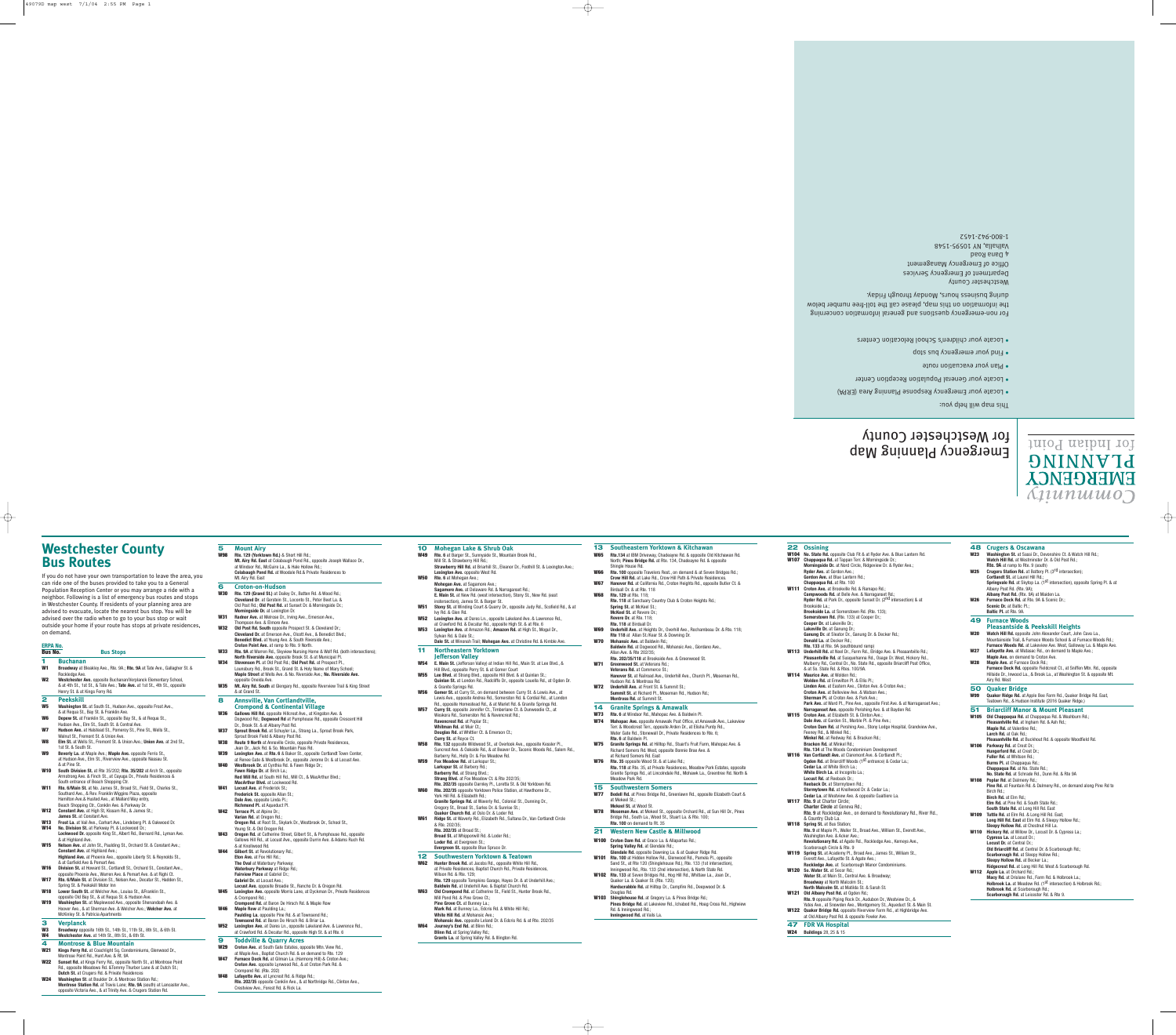## **Westchester County Bus Routes**

If you do not have your own transportation to leave the area, you can ride one of the buses provided to take you to a General Population Reception Center or you may arrange a ride with a neighbor. Following is a list of emergency bus routes and stops in Westchester County. If residents of your planning area are advised to evacuate, locate the nearest bus stop. You will be advised over the radio when to go to your bus stop or wait outside your home if your route has stops at private residences, on demand.

**Bus Stops** 

## **ERPA No.**

**1 Buchanan**

- **W1 Broadway** at Bleakley Ave., Rte. 9A.; **Rte. 9A** at Tate Ave., Gallagher St. & Rockledge Ave. **W2 Westchester Ave.** opposite Buchanan/Verplanck Elementary School, & at 4th St., 1st St., & Tate Ave.; **Tate Ave.** at 1st St., 4th St., opposite Henry St. & at Kings Ferry Rd. **2 Peekskill W5 Washington St.** at South St., Hudson Ave., opposite Frost Ave., & at Requa St., Bay St. & Franklin Ave. **W6 Depew St.** at Franklin St., opposite Bay St., & at Requa St., Hudson Ave., Elm St., South St. & Central Ave. **W7 Hudson Ave.** at Halstead St., Pomeroy St., Pine St., Wells St., Walnut St., Fremont St. & Union Ave. **W8 Elm St.** at Wells St., Fremont St. & Union Ave.; **Union Ave.** at 2nd St.,
- 1st St. & South St. **W9 Beverly La.** at Maple Ave.; **Maple Ave.** opposite Ferris St., at Hudson Ave., Elm St., Riverview Ave., opposite Nassau St.
- & at Pine St. **W10 South Division St.** at Rte 35/202; **Rte. 35/202** at Arch St., opposite Armstrong Ave. & Finch St., at Cayuga Dr., Private Residences &
- South entrance of Beach Shopping Ctr. **W11 Rte. 6/Main St.** at No. James St., Broad St., Field St., Charles St., Southard Ave., & Rev. Franklin Wiggins Plaza, opposite
- Hamilton Ave.& Husted Ave., at Mallard Way entry, Beach Shopping Ctr., Conklin Ave. & Parkway Dr. **W12 Constant Ave.** at High St, Kissam Rd., & James St.;
- **James St.** at Constant Ave. **W13 Frost La.** at Vail Ave., Carhart Ave., Lindeberg Pl. & Oakwood Dr.
- **W14 No. Division St.** at Parkway Pl. & Lockwood Dr.; **Lockwood Dr.** opposite King St., Albert Rd., Bernard Rd., Lyman Ave. & at Highland Ave.
- **W15 Nelson Ave.** at John St., Paulding St., Orchard St. & Constant Ave.; **Constant Ave.** at Highland Ave.; **Highland Ave.** at Phoenix Ave., opposite Liberty St. & Reynolds St.,
- & at Garfield Ave & Pemart Ave. **W16 Division St.** at Howard St., Cortlandt St., Orchard St., Constant Ave., opposite Phoenix Ave., Warren Ave. & Pemart Ave. & at Righi Ct. **W17 Rte. 6/Main St.** at Division St., Nelson Ave., Decatur St., Hadden St.,
- Spring St. & Peekskill Motor Inn
- **W18 Lower South St.** at Welcher Ave., Louisa St., &Franklin St., opposite Old Bay St., & at Requa St. & Hudson Ave.
- **W19 Washington St.** at Maplewood Ave., opposite Shenandoah Ave. & Hoover Ave., & at Sherman Ave. & Welcher Ave.; **Welcher Ave.** at McKinley St. & Patricia Apartments
- **3 Verplanck W3 Broadway** opposite 16th St., 14th St., 11th St., 8th St., & 6th St.
- Westchester Ave. at 14th St., 8th St., & 6th St. **4 Montrose & Blue Mountain**
- **W21 Kings Ferry Rd.** at Coachlight Sq. Condominiums, Glenwood Dr.,
- Montrose Point Rd., Hunt Ave. & Rt. 9A
- **W22 Sunset Rd.** at Kings Ferry Rd., opposite North St., at Montrose Point
- Rd., opposite Meadows Rd. &Tommy Thurber Lane & at Dutch St.; **Dutch St.** at Crugers Rd. & Private Residences **W24 Washington St**. at Boulder Dr. & Montrose Station Rd.; **Montrose Station Rd.** at Travis Lane; **Rte. 9A** (south) at Lancaster Ave., opposite Victoria Ave., & at Trinity Ave. & Crugers Station Rd.
- **5 Mount Airy W98 Rte. 129 (Yorktown Rd.)** & Short Hill Rd.;
- **Mt. Airy Rd. East** at Colabaugh Pond Rd., opposite Joseph Wallace Dr., at Windsor Rd., McGuire La., & Hale Hollow Rd.; **Colabaugh Pond Rd.** at Woodale Rd.& Private Residences to Mt. Airy Rd. East
- **6 Croton-on-Hudson**
- **W30 Rte. 129 (Grand St.)** at Dailey Dr., Batten Rd. & Wood Rd.; **Cleveland Dr**. at Gerstein St., Loconto St., Peter Beet La. & Old Post Rd.; **Old Post Rd.** at Sunset Dr. & Morningside Dr.; **Morningside Dr.** at Lexington Dr.
- **W31 Radnor Ave.** at Melrose Dr., Irving Ave., Emerson Ave., Thompson Ave. & Elmore Ave.
- **W32 Old Post Rd. South** opposite Prospect St. & Cleveland Dr.; **Cleveland Dr.** at Emerson Ave., Olcott Ave., & Benedict Blvd.; **Benedict Blvd.** at Young Ave. & South Riverside Ave.; **Croton Point Ave.** at ramp to Rte. 9 North.
- **W33 Rte. 9A** at Warren Rd., Skyview Nursing Home & Wolf Rd. (both intersections); **North Riverside Ave.** opposite Brook St. & at Municipal Pl. **W34 Stevenson Pl.** at Old Post Rd.; **Old Post Rd.** at Prospect Pl.,
- Lounsbury Rd., Brook St., Grand St. & Holy Name of Mary School; **Maple Street** at Wells Ave. & No. Riverside Ave.; **No. Riverside Ave.** opposite Oneida Ave.
- **W35 Mt. Airy Rd. South** at Glengary Rd., opposite Riverview Trail & King Street & at Grand St.
- **8 Annsville, Van Cortlandtville, Crompond & Continental Village**
- **W36 Gallows Hill Rd.** opposite Hillcrest Ave., at Kingston Ave. & Dogwood Rd.; **Dogwood Rd** at Pumphouse Rd., opposite Crescent Hill
- Dr., Brook St. & at Albany Post Rd. **W37 Sprout Brook Rd.** at Schuyler La., Strang La., Sprout Brook Park,
- Sprout Brook Field & Albany Post Rd. **W38 Route 9 North** at Annsville Circle, opposite Private Residences,
- Jean Dr., Jack Rd. & So. Mountain Pass Rd. **W39 Lexington Ave.** at **Rte. 6** & Baker St., opposite Cortlandt Town Center,
- at Renee Gate & Westbrook Dr., opposite Jerome Dr. & at Locust Ave. **W40 Westbrook Dr.** at Cynthia Rd. & Fawn Ridge Dr.; **Fawn Ridge Dr.** at Birch La.;
- **Red Mill Rd.** at South Hill Rd., Mill Ct., & MacArthur Blvd.; **MacArthur Blvd.** at Lockwood Rd.
- **W41 Locust Ave.** at Frederick St.; **Frederick St.** opposite Allan St.;
- **Dale Ave.** opposite Linda Pl.; **Richmond Pl.** at Aqueduct Pl.
- **W42 Terrace Pl.** at Alpine Dr.; **Varian Rd.** at Oregon Rd.;
- **Oregon Rd.** at Root St., Skylark Dr., Westbrook Dr., School St., Young St. & Old Oregon Rd.
- **W43 Oregon Rd.** at Catherine Street, Gilbert St., & Pumphouse Rd., opposite Gallows Hill Rd., at Locust Ave., opposite Durrin Ave. & Adams Ruch Rd. & at Knollwood Rd.
- **W44 Gilbert St.** at Revolutionary Rd.; **Eton Ave.** at Fox Hill Rd.;
- **The Oval** at Waterbury Parkway; **Waterbury Parkway** at Ridge Rd.;
- **Fairview Place** at Gabriel Dr.; **Gabriel Dr.** at Locust Ave.;
- **Locust Ave.** opposite Broadie St., Rancho Dr. & Oregon Rd. **W45 Lexington Ave.** opposite Morris Lane, at Dyckman Dr., Private Residences & Crompond Rd.;
- **Crompond Rd.** at Baron De Hirsch Rd. & Maple Row **W46 Maple Row** at Paulding La.;
- **Paulding La.** opposite Pine Rd. & at Townsend Rd.; **Townsend Rd.** at Baron De Hirsch Rd. & Briar La. **W52 Lexington Ave.** at Dares Ln., opposite Lakeland Ave. & Lawrence Rd.,
- at Crawford Rd. & Decatur Rd., opposite High St. & at Rte. 6 **9 Toddville & Quarry Acres**
- **W29 Croton Ave.** at South Gate Estates, opposite Mtn. View Rd., at Maple Ave., Baptist Church Rd. & on demand to Rte. 129
- **W47 Furnace Dock Rd.** at Gilman La. (Harmony Hill) & Croton Ave.; **Croton Ave.** opposite Lynwood Rd., & at Croton Park Rd. &
- Crompond Rd. (Rte. 202) Lafayette Ave. at Lyncrest Rd. & Ridge Rd.;
- **Rte. 202/35** opposite Conklin Ave., & at Northridge Rd., Clinton Ave., Crestview Ave., Forest Rd. & Rick La.
- **Bracken Rd.** at Minkel Rd.; **Rte. 134** at The Woods Condominium Development
- **W116 Van Cortlandt Ave.** at Claremont Ave. & Cortlandt Pl.; **Ogden Rd.** at Briarcliff Woods (1<sup>St</sup> entrance) & Cedar La.;
- **10 Mohegan Lake & Shrub Oak W49 Rte. 6** at Barger St., Sunnyside St., Mountain Brook Rd., Mill St. & Strawberry Hill Rd.; **Strawberry Hill Rd.** at Briarhill St., Eleanor Dr., Foothill St. & Lexington Ave.;
- **Lexington Ave.** opposite West Rd. **W50 Rte. 6** at Mohegan Ave.;
- **Mohegan Ave.** at Sagamore Ave.; **Sagamore Ave.** at Delaware Rd. & Narraganset Ro **E. Main St.** at New Rd. (west intersection), Stony St., New Rd. (east
- instersection), James St. & Barger St. **W51 Stony St.** at Winding Court & Quarry Dr., opposite Judy Rd., Scofield Rd., & at
- Ivy Rd. & Glen Rd. **W52 Lexington Ave.** at Dares Ln., opposite Lakeland Ave. & Lawrence Rd.,
- at Crawford Rd. & Decatur Rd., opposite High St. & at Rte. 6 **W53 Lexington Ave.** at Amazon Rd.; **Amazon Rd.** at High St., Mogul Dr.,
- Sylvan Rd. & Dale St.; **Dale St.** at Winonah Trail; **Mohegan Ave.** at Christine Rd. & Kimble Ave.
- **11 Northeastern Yorktown**
- **Jefferson Valley W54 E. Main St.** (Jefferson Valley) at Indian Hill Rd., Main St. at Lee Blvd., &
- Hill Blvd., opposite Perry St. & at Gomer Court **W55 Lee Blvd.** at Strang Blvd., opposite Hill Blvd. & at Quinlan St.; **Quinlan St.** at London Rd., Radcliffe Dr., opposite Louella Rd., at Ogden Dr. & Granite Springs Rd.
- **W56 Gomer St.** at Curry St., on demand between Curry St. & Lewis Ave., at Lewis Ave., opposite Andrea Rd., Somerston Rd. & Cordial Rd., at London Rd., opposite Homestead Rd., & at Marlet Rd. & Granite Springs Rd. **W57 Curry St.** opposite Jennifer Ct., Timberlane Ct. & Dunwoodie Ct., at
- Weskora Rd., Somerston Rd. & Ravencrest Rd.; **Ravencrest Rd.** at Poplar St.; **Whitman Rd.** at Muir Ct.; **Douglas Rd.** at Whittier Ct. & Emerson Ct.;
- **Curry St.** at Royce Ct. **W58 Rte. 132** opposite Wildwood St., at Overlook Ave., opposite Kessler Pl.,
- Suncrest Ave. & Oakside Rd., & at Beaver Dr., Taconic Woods Rd., Salem Rd., Barberry Rd., Holly Dr. & Fox Meadow Rd.
- **W59 Fox Meadow Rd.** at Larkspur St.; **Larkspur St.** at Barbery Rd.; **Barberry Rd.** at Strang Blvd.
- **Strang Blvd.** at Fox Meadow Ct. & Rte 202/35; **Rte. 202/35** opposite Darnley Pl., Loretta St. & Old Yorktown Rd. **W60 Rte. 202/35** opposite Yorktown Police Station, at Hawthorne Dr.,
- York Hill Rd. & Elizabeth Rd.; **Granite Springs Rd.** at Waverly Rd., Colonial St., Dunning Dr., Gregory St., Broad St., Sarles Dr. & Sunrise St.;
- **Quaker Church Rd.** at Oslo Dr. & Loder Rd. **W61 Ridge St.** at Waverly Rd., Elizabeth Rd., Sultana Dr., Van Cortlandt Circle & Rte. 202/35;
- **Rte. 202/35** at Broad St.; **Broad St.** at Whipporwill Rd. & Loder Rd.; **Loder Rd.** at Evergreen St.;
- **Evergreen St.** opposite Blue Spruce Dr. **12 Southwestern Yorktown & Teatown**
- **W62 Hunter Brook Rd.** at Jacobs Rd., opposite White Hill Rd., at Private Residences, Baptist Church Rd., Private Residences, Wilson Rd. & Rte. 129; **Rte. 129** opposite Tompkins Garage, Hayes Dr. & at Underhill Ave.;
- **Baldwin Rd.** at Underhill Ave. & Baptist Church Rd. **W63 Old Crompond Rd.** at Catherine St., Field St., Hunter Brook Rd., Mill Pond Rd. & Pine Grove Ct.; **Pine Grove Ct.** at Bunney La.;
- **Mark Rd.** at Bunney La., Edcris Rd. & White Hill Rd.; **White Hill Rd.** at Mohansic Ave.; **Mohansic Ave.** opposite Leland Dr. & Edcris Rd. & at Rte. 202/35 **W64 Journey's End Rd.** at Blinn Rd.;
- **Blinn Rd.** at Spring Valley Rd.; **Grants La.** at Spring Valley Rd. & Illington Rd.

**Macy Rd.** at Drislane Rd., Farm Rd. & Holbrook La.; **Holbrook La.** at Meadow Rd. (1<sup>st</sup> intersection) & Holbrook Rd.;

**13 Southeastern Yorktown & Kitchawan**

**W65 Rte.134** at IBM Driveway, Chadeayne Rd. & opposite Old Kitchawan Rd. North; **Pines Bridge Rd.** at Rte. 134, Chadeayne Rd. & opposite

Shingle House Rd.

 $\longrightarrow$ 

**W66 Rte. 100** opposite Travelers Rest., on demand & at Seven Bridges Rd.; **Crow Hill Rd.** at Lake Rd., Crow Hill Path & Private Residences. **W67 Hanover Rd.** at California Rd., Croton Heights Rd., opposite Butler Ct. &

Birdsall Dr. & at Rte. 118 **W68 Rte. 129** at Rte. 118;

**Rte. 118** at Sanctuary Country Club & Croton Heights Rd.;

**Spring St.** at McKeel St.; **McKeel St.** at Revere Dr.;

| W69         | Revere Dr. at Rte. 118;<br><b>Rte. 118 at Birdsall Dr.</b><br><b>Underhill Ave.</b> at Heights Dr., Overhill Ave., Rochambeau Dr. & Rte. 118;<br>Rte 118 at Allan St./Kear St. & Downing Dr.                                       |
|-------------|------------------------------------------------------------------------------------------------------------------------------------------------------------------------------------------------------------------------------------|
| W70         | <b>Mohansic Ave.</b> at Baldwin Rd.:<br>Baldwin Rd. at Dogwood Rd., Mohansic Ave., Giordano Ave.,<br>Allan Ave. & Rte 202/35;                                                                                                      |
| W71         | Rte. 202/35/118 at Brookside Ave. & Greenwood St.<br>Greenwood St. at Veterans Rd.;<br>Veterans Rd. at Commerce St.;<br><b>Hanover St.</b> at Railroad Ave., Underhill Ave., Church Pl., Moseman Rd.,<br>Hudson Rd. & Montross Rd. |
| <b>W72</b>  | Underhill Ave. at Front St. & Summit St.;<br>Summit St. at Richard Pl., Moseman Rd., Hudson Rd.;<br>Montross Rd. at Summit St.                                                                                                     |
| 14          | <b>Granite Springs &amp; Amawalk</b>                                                                                                                                                                                               |
| <b>W73</b>  | Rte. 6 at Windsor Rd., Mahopac Ave. & Baldwin Pl.                                                                                                                                                                                  |
| W74         | Mahopac Ave. opposite Amawalk Post Office, at Amawalk Ave., Lakeview<br>Terr. & Woodcrest Terr., opposite Arden Dr., at Elisha Purdy Rd.,<br>Water Gate Rd., Stonewall Dr., Private Residences to Rte. 6;<br>Rte. 6 at Baldwin Pl. |
| W75         | Granite Springs Rd. at Hilltop Rd., Stuart's Fruit Farm, Mahopac Ave. &<br>Richard Somers Rd. West, opposite Bonnie Brae Ave. &<br>at Richard Somers Rd. East                                                                      |
| W76         | Rte. 35 opposite Wood St. & at Lake Rd.;<br><b>Rte. 118</b> at Rte. 35, at Private Residences, Meadow Park Estates, opposite<br>Granite Springs Rd., at Lincolndale Rd., Mohawk La., Greentree Rd. North &<br>Meadow Park Rd.      |
| 15          | <b>Southwestern Somers</b>                                                                                                                                                                                                         |
| W77         | Bedell Rd. at Pines Bridge Rd., Greenlawn Rd., opposite Elizabeth Court &<br>at Mekeel St.:<br>Mekeel St. at Wood St.                                                                                                              |
| W78         | Moseman Ave. at Mekeel St., opposite Orchard Rd., at Sun Hill Dr., Pines<br>Bridge Rd., South La., Wood St., Stuart La. & Rte. 100;<br>Rte. 100 on demand to Rt. 35                                                                |
| 21          | <b>Western New Castle &amp; Millwood</b>                                                                                                                                                                                           |
| W100        | Croton Dam Rd. at Grace La. & Allapartus Rd.;<br>Spring Valley Rd. at Glendale Rd.;<br>Glendale Rd. opposite Dawning La. & at Quaker Ridge Rd.                                                                                     |
| <b>W101</b> | Rte. 100 at Hidden Hollow Rd., Glenwood Rd., Pamela Pl., opposite<br>Sand St., at Rte 120 (Shinglehouse Rd.), Rte. 133 (1st intersection),<br>Inningwood Rd., Rte. 133 (2nd intersection), & North State Rd.                       |
| W102        | Rte. 133 at Seven Bridges Rd., Hog Hill Rd., Whitlaw La., Joan Dr.,<br>Quaker La. & Quaker St. (Rte. 120);<br>Hardscrabble Rd. at Hilltop Dr., Campfire Rd., Deepwood Dr. &                                                        |
| W103        | Douglas Rd.<br>Shinglehouse Rd. at Gregory La. & Pines Bridge Rd.;<br>Pines Bridge Rd. at Lakeview Rd., Ichabod Rd., Hoag Cross Rd., Highview                                                                                      |
|             | Rd. & Inningwood Rd.;                                                                                                                                                                                                              |

**22 Ossining**

- 
- 
- 
- 
- 
- 
- 
- 
- 
- 

**W104 No. State Rd.** opposite Club Fit & at Ryder Ave. & Blue Lantern Rd.

**W107 Chappaqua Rd.** at Tappan Terr. & Morningside Dr.;

**Morningside Dr.** at Nord Circle, Ridgeview Dr. & Ryder Ave.;

**Ryder Ave.** at Gordon Ave.; **Gordon Ave.** at Blue Lantern Rd.; **Chappaqua Rd.** at Rte. 100 **W111 Croton Ave.** at Brookville Rd. & Ramapo Rd.;

**Campwoods Rd.** at Belle Ave. & Narraganset Rd.;

**Ryder Rd.** at Park Dr., opposite Sunset Dr. (2nd intersection) & at

Brookside La.;

**Brookside La.** at Somerstown Rd. (Rte. 133); **Somerstown Rd.** (Rte. 133) at Cooper Dr.;

**Cooper Dr.** at Lakeville Dr.; **Lakeville Dr.** at Ganung Dr.;

**Ganung Dr.** at Sleator Dr., Ganung Dr. & Decker Rd.;

**Donald La.** at Decker Rd.; **Rte. 133** at Rte. 9A (southbound ramp)

**W113 Underhill Rd.** at Noel Dr., Farm Rd., Elridge Ave. & Pleasantville Rd.; **Pleasantville Rd.** at Susquehanna Rd., Osage Dr. West, Hickory Rd., Mulberry Rd., Central Dr., No. State Rd., opposite Briarcliff Post Office,

- & at So. State Rd. & Rtes. 100/9A. **W114 Maurice Ave.** at Wolden Rd.; **Wolden Rd.** at Emwilton Pl. & Ellis Pl.; **Linden Ave.** at Eastern Ave., Clinton Ave. & Croton Ave.; **Croton Ave.** at Belleview Ave. & Watson Ave.; **Sherman Pl.** at Croton Ave. & Park Ave.; Park Ave. at Ward Pl., Pine Ave., opposite First Ave. & at Narraganset Ave.; **W115 Croton Ave.** at Elizabeth St. & Clinton Ave.; **Dale Ave.** at Garden St., Marble Pl. & Pine Ave.; Feeney Rd., & Minkel Rd.;
	- **Narraganset Ave.** opposite Perishing Ave. & at Bayden Rd. **Croton Dam Rd.** at Pershing Ave., Stony Lodge Hospital, Grandview Ave.,
- 
- **Minkel Rd.** at Redway Rd. & Bracken Rd.;

- 
- 
- 
- **Cedar La.** at White Birch La.; **White Birch La.** at Incognito La.;
- 
- 
- 

**Locust Rd.** at Reeback Dr.; **Reeback Dr.** at Stormytown Rd.;

**Stormytown Rd.** at Knollwood Dr. & Cedar La.; **Cedar La.** at Westview Ave. & opposite Gualtiere La.

- 
- 

**W117 Rte. 9** at Charter Circle;

**Charter Circle** at Geneva Rd.;

**Rte. 9** at Rockledge Ave., on demand to Revolutionary Rd., River Rd.,

& Country Club La. **W118 Spring St.** at Bus Station;

**Rte. 9** at Maple Pl., Waller St., Broad Ave., William St., Everett Ave.,

Washington Ave. & Acker Ave.;

**Revolutionary Rd.** at Agate Rd., Rockledge Ave., Kemeys Ave.,

Scarborough Circle & Rte. 9

**W119 Spring St.** at Academy Pl., Broad Ave., James St., William St.,

Everett Ave., Lafayette St. & Agate Ave.;

**Rockledge Ave.** at Scarborough Manor Condominiums.

**W120 So. Water St.** at Secor Rd.;

**Water St.** at Main St., Central Ave. & Broadway;

**Broadway** at North Malcolm St.; **North Malcolm St.** at Matilda St. & Sarah St.

**W121 Old Albany Post Rd.** at Ogden Rd.;

**Rte. 9** opposite Piping Rock Dr., Audubon Dr., Westview Dr., & Yates Ave., at Snowden Ave., Montgomery St., Aqueduct St. & Main St. **W122 Quaker Bridge Rd.** opposite Riverview Farm Rd., at Highbridge Ave.

at Old Albany Post Rd. & opposite Fowler Ave.

**47 FDR VA Hospital W24 Buildings** 28, 25 & 15

**48 Crugers & Oscawana**

 $\cdot$ nov qləd lliw q $\mathfrak{sm}$  sidT

**W23 Washington St.** at Sassi Dr., Devonshire Ct. & Watch Hill Rd.; **Watch Hill Rd.** at Westminster Dr. & Old Post Rd.;

**Crugers Station Rd.** at Battery Pl. (3<sup>rd</sup> intersection)

**Rte. 9A** at ramp to Rte. 9 (south)

**Cortlandt St.** at Laurel Hill Rd.;

Albany Post Rd. (Rte. 9A);

**Albany Post Rd.** (Rte. 9A) at Maiden La. **W26 Furnace Dock Rd.** at Rte. 9A & Scenic Dr.; **Scenic Dr.** at Baltic Pl.; **Baltic Pl.** at Rte. 9A. **49 Furnace Woods**

**Pleasantside & Peekskill Heights W20 Watch Hill Rd.** opposite John Alexander Court, John Cava La.,

Mountainside Trail, & Furnace Woods School & at Furnace Woods Rd.; **Furnace Woods Rd.** at Lakeview Ave. West, Galloway La. & Maple Ave.

**W27 Lafayette Ave.** at Matasac Rd., on demand to Maple Ave.; **Maple Ave.** on demand to Croton Ave.

**W28 Maple Ave.** at Furnace Dock Rd.;

**Furnace Dock Rd.** opposite Fieldcrest Ct., at Sniffen Mtn. Rd., opposite Hillside Dr., Inwood La., & Brook La., at Washington St. & opposite Mt.

Airy Rd. West **50 Quaker Bridge**

**W99 Quaker Ridge Rd.** at Apple Bee Farm Rd., Quaker Bridge Rd. East, Teatown Rd., & Hudson Institute (2016 Quaker Ridge.) **51 Briarcliff Manor & Mount Pleasant W105 Old Chappaqua Rd.** at Chappaqua Rd. & Washburn Rd.; **Pleasantville Rd.** at Ingham Rd. & Ash Rd.;

> **Maple Rd.** at Valentine Rd.; **Larch Rd.** at Oak Rd.;

**Pleasantville Rd.** at Buckhout Rd. & opposite Woodfield Rd.

**W106 Parkway Rd.** at Crest Dr.; **Hungerford Rd.** at Crest Dr.; **Fuller Rd.** at Whitson Rd.; **Burns Pl.** at Chappaqua Rd.; **Chappaqua Rd.** at No. State Rd.;

**No. State Rd.** at Schrade Rd., Dunn Rd. & Rte 9A

**W108 Poplar Rd**. at Dalmeny Rd.;

**Pine Rd.** at Fountain Rd. & Dalmeny Rd., on demand along Pine Rd to

Birch Rd.; **Birch Rd.** at Elm Rd.;

**Elm Rd.** at Pine Rd. & South State Rd.; **South State Rd.** at Long Hill Rd. East **W109 Tuttle Rd.** at Elm Rd. & Long Hill Rd. East;

**Springvale Rd.** at Skytop La. (1<sup>st</sup> intersection), opposite Spring Pl. & at

for Indian Point

**DNINNVTd** 

**EMERGENCA** 

*Anunumo* 

 $\oplus$ 

**Long Hill Rd. East** at Elm Rd. & Sleepy Hollow Rd.; **Sleepy Hollow Rd.** at Chestnut Hill La. **W110 Hickory Rd.** at Willow Dr., Locust Dr. & Cypress La.;

> **Cypress La.** at Locust Dr.; **Locust Dr.** at Central Dr.;

**Old Briarcliff Rd.** at Central Dr. & Scarborough Rd.; **Scarborough Rd.** at Sleepy Hollow Rd.; **Sleepy Hollow Rd.** at Becker La.;

**Ridgecrest Rd.** at Long Hill Rd. West & Scarborough Rd.

**W112 Apple La.** at Orchard Rd.;

**Holbrook Rd.** at Scarborough Rd.; **Scarborough Rd.** at Leicester Rd. & Rte 9.

ocate your General Population Reception Center L •

· Locate your children's School Relocation Centers

during busines hours, Monday through Friday.

Plan your evacuation route •

or non-emergency questions and general information concerning F the information on this map, please call the toll-free number below

estchester County W

Department of Emergency Services Office of Emergency Management

. Locate your Emergency Response Planning Area (ERPA)

Emergency Planning Map

4 Dana Road

10595-1548 alhalla, NY V

1-800-942-1452

**• Find your emergency bus and** 

for Westchester County